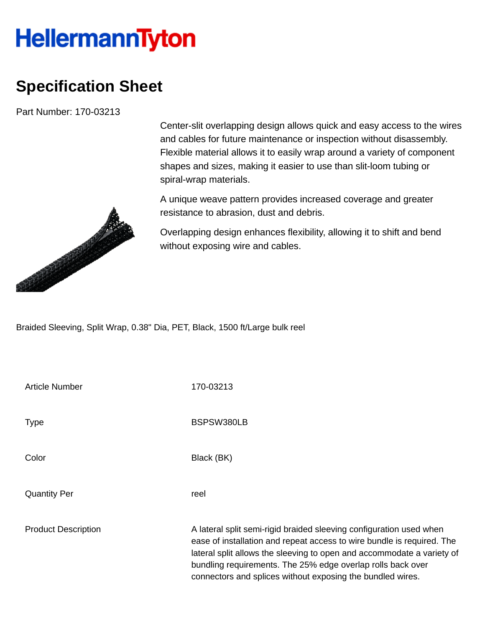## **HellermannTyton**

## **Specification Sheet**

Part Number: 170-03213



Center-slit overlapping design allows quick and easy access to the wires and cables for future maintenance or inspection without disassembly. Flexible material allows it to easily wrap around a variety of component shapes and sizes, making it easier to use than slit-loom tubing or spiral-wrap materials.

A unique weave pattern provides increased coverage and greater resistance to abrasion, dust and debris.

Overlapping design enhances flexibility, allowing it to shift and bend without exposing wire and cables.

Braided Sleeving, Split Wrap, 0.38" Dia, PET, Black, 1500 ft/Large bulk reel

| <b>Article Number</b>      | 170-03213                                                                                                                                                                                                                                                                                                                                            |
|----------------------------|------------------------------------------------------------------------------------------------------------------------------------------------------------------------------------------------------------------------------------------------------------------------------------------------------------------------------------------------------|
| Type                       | BSPSW380LB                                                                                                                                                                                                                                                                                                                                           |
| Color                      | Black (BK)                                                                                                                                                                                                                                                                                                                                           |
| <b>Quantity Per</b>        | reel                                                                                                                                                                                                                                                                                                                                                 |
| <b>Product Description</b> | A lateral split semi-rigid braided sleeving configuration used when<br>ease of installation and repeat access to wire bundle is required. The<br>lateral split allows the sleeving to open and accommodate a variety of<br>bundling requirements. The 25% edge overlap rolls back over<br>connectors and splices without exposing the bundled wires. |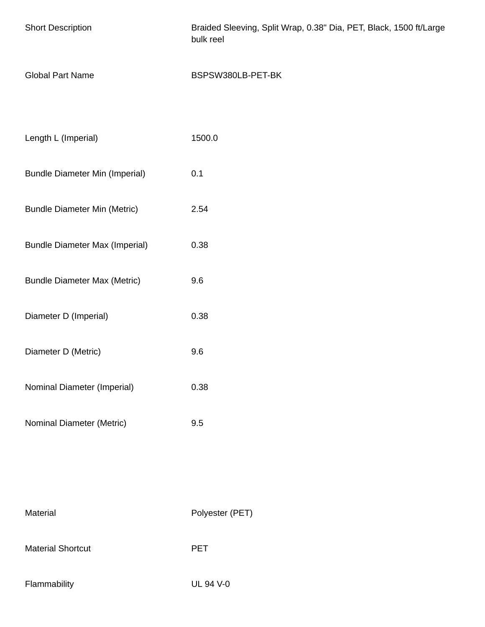| <b>Short Description</b>              | Braided Sleeving, Split Wrap, 0.38" Dia, PET, Black, 1500 ft/Large<br>bulk reel |
|---------------------------------------|---------------------------------------------------------------------------------|
| <b>Global Part Name</b>               | BSPSW380LB-PET-BK                                                               |
|                                       |                                                                                 |
| Length L (Imperial)                   | 1500.0                                                                          |
| <b>Bundle Diameter Min (Imperial)</b> | 0.1                                                                             |
| <b>Bundle Diameter Min (Metric)</b>   | 2.54                                                                            |
| <b>Bundle Diameter Max (Imperial)</b> | 0.38                                                                            |
| <b>Bundle Diameter Max (Metric)</b>   | 9.6                                                                             |
| Diameter D (Imperial)                 | 0.38                                                                            |
| Diameter D (Metric)                   | 9.6                                                                             |
| Nominal Diameter (Imperial)           | 0.38                                                                            |
| Nominal Diameter (Metric)             | 9.5                                                                             |
|                                       |                                                                                 |
|                                       |                                                                                 |

Material Polyester (PET)

Material Shortcut **PET** 

Flammability UL 94 V-0